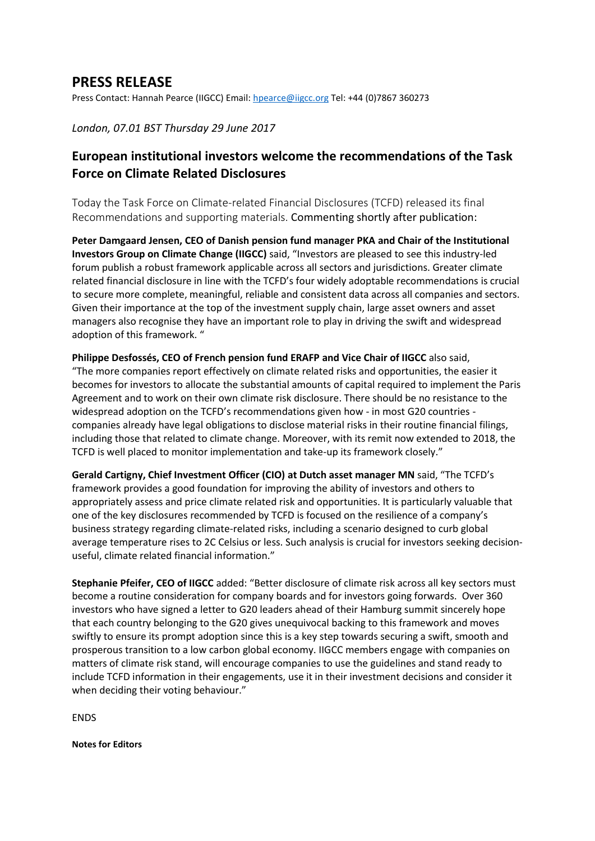## **PRESS RELEASE**

Press Contact: Hannah Pearce (IIGCC) Email: [hpearce@iigcc.org](mailto:hpearce@iigcc.org) Tel: +44 (0)7867 360273

*London, 07.01 BST Thursday 29 June 2017* 

## **European institutional investors welcome the recommendations of the Task Force on Climate Related Disclosures**

Today the Task Force on Climate-related Financial Disclosures (TCFD) released its final Recommendations and supporting materials. Commenting shortly after publication:

**Peter Damgaard Jensen, CEO of Danish pension fund manager PKA and Chair of the Institutional Investors Group on Climate Change (IIGCC)** said, "Investors are pleased to see this industry-led forum publish a robust framework applicable across all sectors and jurisdictions. Greater climate related financial disclosure in line with the TCFD's four widely adoptable recommendations is crucial to secure more complete, meaningful, reliable and consistent data across all companies and sectors. Given their importance at the top of the investment supply chain, large asset owners and asset managers also recognise they have an important role to play in driving the swift and widespread adoption of this framework. "

**Philippe Desfossés, CEO of French pension fund ERAFP and Vice Chair of IIGCC** also said, "The more companies report effectively on climate related risks and opportunities, the easier it becomes for investors to allocate the substantial amounts of capital required to implement the Paris Agreement and to work on their own climate risk disclosure. There should be no resistance to the widespread adoption on the TCFD's recommendations given how - in most G20 countries companies already have legal obligations to disclose material risks in their routine financial filings, including those that related to climate change. Moreover, with its remit now extended to 2018, the TCFD is well placed to monitor implementation and take-up its framework closely."

**Gerald Cartigny, Chief Investment Officer (CIO) at Dutch asset manager MN** said, "The TCFD's framework provides a good foundation for improving the ability of investors and others to appropriately assess and price climate related risk and opportunities. It is particularly valuable that one of the key disclosures recommended by TCFD is focused on the resilience of a company's business strategy regarding climate-related risks, including a scenario designed to curb global average temperature rises to 2C Celsius or less. Such analysis is crucial for investors seeking decisionuseful, climate related financial information."

**Stephanie Pfeifer, CEO of IIGCC** added: "Better disclosure of climate risk across all key sectors must become a routine consideration for company boards and for investors going forwards. Over 360 investors who have signed a letter to G20 leaders ahead of their Hamburg summit sincerely hope that each country belonging to the G20 gives unequivocal backing to this framework and moves swiftly to ensure its prompt adoption since this is a key step towards securing a swift, smooth and prosperous transition to a low carbon global economy. IIGCC members engage with companies on matters of climate risk stand, will encourage companies to use the guidelines and stand ready to include TCFD information in their engagements, use it in their investment decisions and consider it when deciding their voting behaviour."

ENDS

**Notes for Editors**